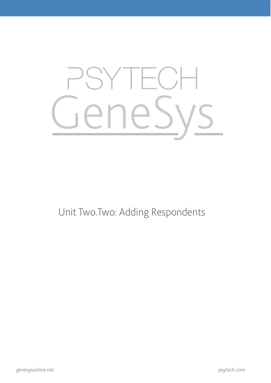## GeneSys

Unit Two.Two: Adding Respondents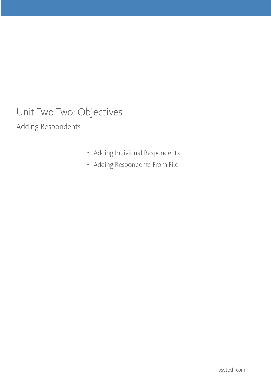## Unit Two.Two: Objectives

Adding Respondents

- • Adding Individual Respondents
- • Adding Respondents From File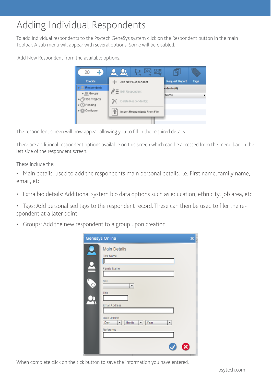## Adding Individual Respondents

To add individual respondents to the Psytech GeneSys system click on the Respondent button in the main Toolbar. A sub menu will appear with several options. Some will be disabled.

Add New Respondent from the available options.



The respondent screen will now appear allowing you to fill in the required details.

There are additional respondent options available on this screen which can be accessed from the menu bar on the left side of the respondent screen.

These include the:

• Main details: used to add the respondents main personal details. i.e. First name, family name, email, etc.

- Extra bio details: Additional system bio data options such as education, ethnicity, job area, etc.
- Tags: Add personalised tags to the respondent record. These can then be used to filer the respondent at a later point.
- Groups: Add the new respondent to a group upon creation.

|    | <b>Genesys Online</b>                                                                                   |  |
|----|---------------------------------------------------------------------------------------------------------|--|
| C) | <b>Main Details</b><br>First Name<br>Family Name<br>Sex<br>۰<br>Title<br>Email Address<br>Date Of Birth |  |
|    | Month<br>Day<br>Year<br>v.<br>۰<br>۰<br>Reference                                                       |  |

When complete click on the tick button to save the information you have entered.